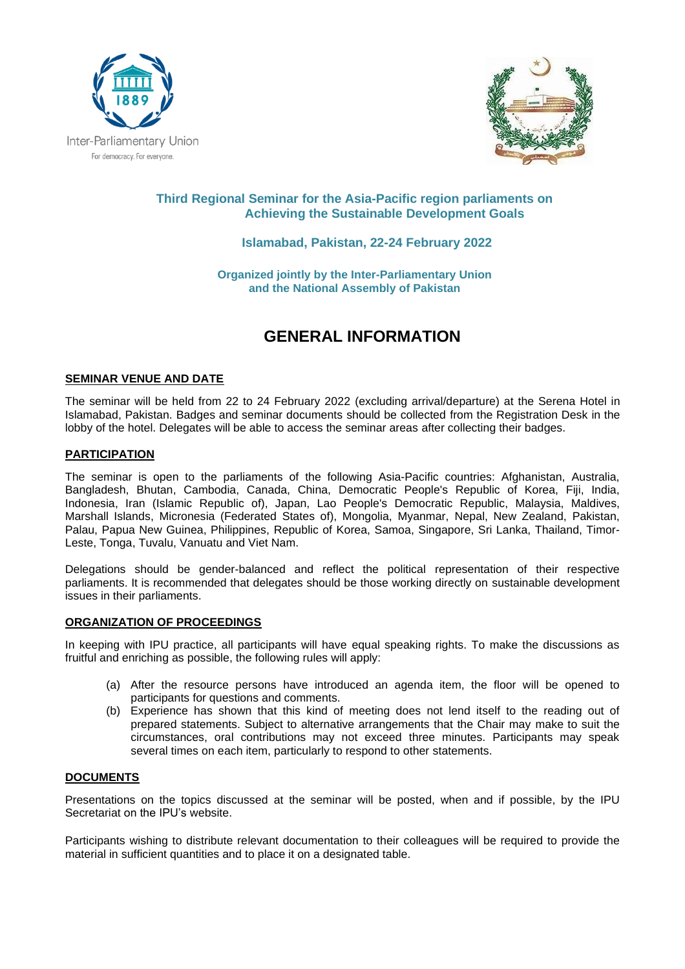



# **Third Regional Seminar for the Asia-Pacific region parliaments on Achieving the Sustainable Development Goals**

# **Islamabad, Pakistan, 22-24 February 2022**

**Organized jointly by the Inter-Parliamentary Union and the National Assembly of Pakistan**

# **GENERAL INFORMATION**

# **SEMINAR VENUE AND DATE**

The seminar will be held from 22 to 24 February 2022 (excluding arrival/departure) at the Serena Hotel in Islamabad, Pakistan. Badges and seminar documents should be collected from the Registration Desk in the lobby of the hotel. Delegates will be able to access the seminar areas after collecting their badges.

#### **PARTICIPATION**

The seminar is open to the parliaments of the following Asia-Pacific countries: Afghanistan, Australia, Bangladesh, Bhutan, Cambodia, Canada, China, Democratic People's Republic of Korea, Fiji, India, Indonesia, Iran (Islamic Republic of), Japan, Lao People's Democratic Republic, Malaysia, Maldives, Marshall Islands, Micronesia (Federated States of), Mongolia, Myanmar, Nepal, New Zealand, Pakistan, Palau, Papua New Guinea, Philippines, Republic of Korea, Samoa, Singapore, Sri Lanka, Thailand, Timor-Leste, Tonga, Tuvalu, Vanuatu and Viet Nam.

Delegations should be gender-balanced and reflect the political representation of their respective parliaments. It is recommended that delegates should be those working directly on sustainable development issues in their parliaments.

#### **ORGANIZATION OF PROCEEDINGS**

In keeping with IPU practice, all participants will have equal speaking rights. To make the discussions as fruitful and enriching as possible, the following rules will apply:

- (a) After the resource persons have introduced an agenda item, the floor will be opened to participants for questions and comments.
- (b) Experience has shown that this kind of meeting does not lend itself to the reading out of prepared statements. Subject to alternative arrangements that the Chair may make to suit the circumstances, oral contributions may not exceed three minutes. Participants may speak several times on each item, particularly to respond to other statements.

#### **DOCUMENTS**

Presentations on the topics discussed at the seminar will be posted, when and if possible, by the IPU Secretariat on the IPU's website.

Participants wishing to distribute relevant documentation to their colleagues will be required to provide the material in sufficient quantities and to place it on a designated table.